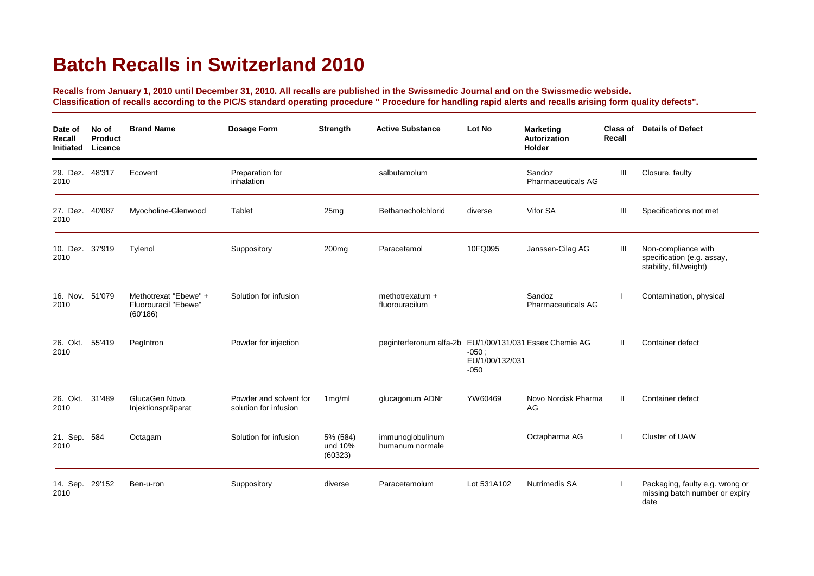## **Batch Recalls in Switzerland 2010**

**Recalls from January 1, 2010 until December 31, 2010. All recalls are published in the Swissmedic Journal and on the Swissmedic webside. Classification of recalls according to the PIC/S standard operating procedure " Procedure for handling rapid alerts and recalls arising form quality defects".**

| Date of<br>Recall<br>Initiated | No of<br><b>Product</b><br>Licence | <b>Brand Name</b>                                         | <b>Dosage Form</b>                              | Strength                       | <b>Active Substance</b>                                 | Lot No                               | <b>Marketing</b><br><b>Autorization</b><br>Holder | Class of<br>Recall | <b>Details of Defect</b>                                                     |
|--------------------------------|------------------------------------|-----------------------------------------------------------|-------------------------------------------------|--------------------------------|---------------------------------------------------------|--------------------------------------|---------------------------------------------------|--------------------|------------------------------------------------------------------------------|
| 29. Dez. 48'317<br>2010        |                                    | Ecovent                                                   | Preparation for<br>inhalation                   |                                | salbutamolum                                            |                                      | Sandoz<br><b>Pharmaceuticals AG</b>               | Ш                  | Closure, faulty                                                              |
| 27. Dez.<br>2010               | 40'087                             | Myocholine-Glenwood                                       | Tablet                                          | 25mg                           | Bethanecholchlorid                                      | diverse                              | Vifor SA                                          | Ш                  | Specifications not met                                                       |
| 10. Dez. 37'919<br>2010        |                                    | Tylenol                                                   | Suppository                                     | 200 <sub>mg</sub>              | Paracetamol                                             | 10FQ095                              | Janssen-Cilag AG                                  | Ш                  | Non-compliance with<br>specification (e.g. assay,<br>stability, fill/weight) |
| 16. Nov. 51'079<br>2010        |                                    | Methotrexat "Ebewe" +<br>Fluorouracil "Ebewe"<br>(60'186) | Solution for infusion                           |                                | methotrexatum +<br>fluorouracilum                       |                                      | Sandoz<br><b>Pharmaceuticals AG</b>               |                    | Contamination, physical                                                      |
| 26. Okt.<br>2010               | 55'419                             | PegIntron                                                 | Powder for injection                            |                                | peginterferonum alfa-2b EU/1/00/131/031 Essex Chemie AG | $-050;$<br>EU/1/00/132/031<br>$-050$ |                                                   | $\mathbf{H}$       | Container defect                                                             |
| 26. Okt. 31'489<br>2010        |                                    | GlucaGen Novo,<br>Injektionspräparat                      | Powder and solvent for<br>solution for infusion | 1mg/ml                         | glucagonum ADNr                                         | YW60469                              | Novo Nordisk Pharma<br>AG                         | $\mathbf{H}$       | Container defect                                                             |
| 21. Sep.<br>2010               | 584                                | Octagam                                                   | Solution for infusion                           | 5% (584)<br>und 10%<br>(60323) | immunoglobulinum<br>humanum normale                     |                                      | Octapharma AG                                     |                    | Cluster of UAW                                                               |
| 14. Sep.<br>2010               | 29'152                             | Ben-u-ron                                                 | Suppository                                     | diverse                        | Paracetamolum                                           | Lot 531A102                          | <b>Nutrimedis SA</b>                              |                    | Packaging, faulty e.g. wrong or<br>missing batch number or expiry<br>date    |